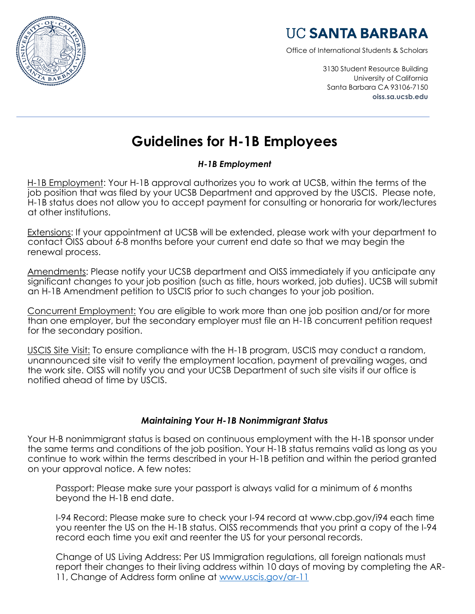

## **UC SANTA BARBARA**

Office of International Students & Scholars

3130 Student Resource Building University of California Santa Barbara CA 93106-7150 **oiss.sa.ucsb.edu**

# **Guidelines for H-1B Employees**

### *H-1B Employment*

H-1B Employment: Your H-1B approval authorizes you to work at UCSB, within the terms of the job position that was filed by your UCSB Department and approved by the USCIS. Please note, H-1B status does not allow you to accept payment for consulting or honoraria for work/lectures at other institutions.

Extensions: If your appointment at UCSB will be extended, please work with your department to contact OISS about 6-8 months before your current end date so that we may begin the renewal process.

Amendments: Please notify your UCSB department and OISS immediately if you anticipate any significant changes to your job position (such as title, hours worked, job duties). UCSB will submit an H-1B Amendment petition to USCIS prior to such changes to your job position.

Concurrent Employment: You are eligible to work more than one job position and/or for more than one employer, but the secondary employer must file an H-1B concurrent petition request for the secondary position.

USCIS Site Visit: To ensure compliance with the H-1B program, USCIS may conduct a random, unannounced site visit to verify the employment location, payment of prevailing wages, and the work site. OISS will notify you and your UCSB Department of such site visits if our office is notified ahead of time by USCIS.

### *Maintaining Your H-1B Nonimmigrant Status*

Your H-B nonimmigrant status is based on continuous employment with the H-1B sponsor under the same terms and conditions of the job position. Your H-1B status remains valid as long as you continue to work within the terms described in your H-1B petition and within the period granted on your approval notice. A few notes:

Passport: Please make sure your passport is always valid for a minimum of 6 months beyond the H-1B end date.

I-94 Record: Please make sure to check your I-94 record at www.cbp.gov/i94 each time you reenter the US on the H-1B status. OISS recommends that you print a copy of the I-94 record each time you exit and reenter the US for your personal records.

Change of US Living Address: Per US Immigration regulations, all foreign nationals must report their changes to their living address within 10 days of moving by completing the AR-11, Change of Address form online at [www.uscis.gov/ar-11](http://www.uscis.gov/ar-11)